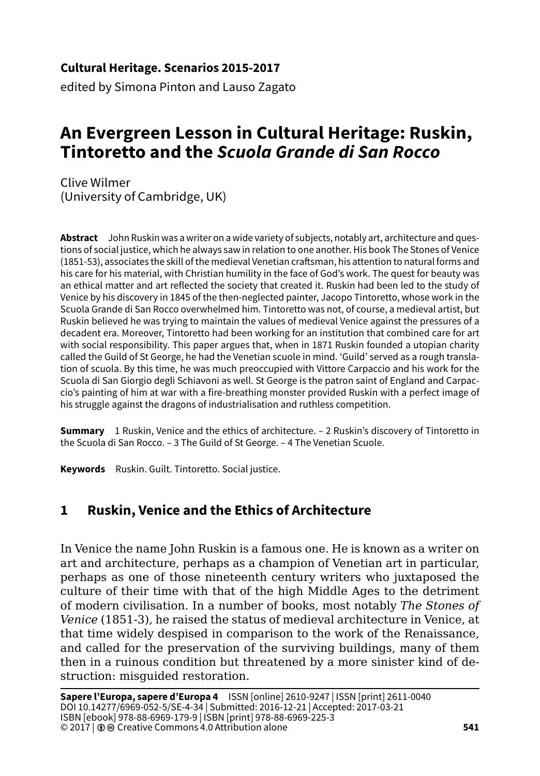#### **Cultural Heritage. Scenarios 2015-2017**

edited by Simona Pinton and Lauso Zagato

# **An Evergreen Lesson in Cultural Heritage: Ruskin, Tintoretto and the** *Scuola Grande di San Rocco*

Clive Wilmer (University of Cambridge, UK)

**Abstract** John Ruskin was a writer on a wide variety of subjects, notably art, architecture and questions of social justice, which he always saw in relation to one another. His book The Stones of Venice (1851-53), associates the skill of the medieval Venetian craftsman, his attention to natural forms and his care for his material, with Christian humility in the face of God's work. The quest for beauty was an ethical matter and art reflected the society that created it. Ruskin had been led to the study of Venice by his discovery in 1845 of the then-neglected painter, Jacopo Tintoretto, whose work in the Scuola Grande di San Rocco overwhelmed him. Tintoretto was not, of course, a medieval artist, but Ruskin believed he was trying to maintain the values of medieval Venice against the pressures of a decadent era. Moreover, Tintoretto had been working for an institution that combined care for art with social responsibility. This paper argues that, when in 1871 Ruskin founded a utopian charity called the Guild of St George, he had the Venetian scuole in mind. 'Guild' served as a rough translation of scuola. By this time, he was much preoccupied with Vittore Carpaccio and his work for the Scuola di San Giorgio degli Schiavoni as well. St George is the patron saint of England and Carpaccio's painting of him at war with a fire-breathing monster provided Ruskin with a perfect image of his struggle against the dragons of industrialisation and ruthless competition.

**Summary** 1 Ruskin, Venice and the ethics of architecture. – 2 Ruskin's discovery of Tintoretto in the Scuola di San Rocco. – 3 The Guild of St George. – 4 The Venetian Scuole.

**Keywords** Ruskin. Guilt. Tintoretto. Social justice.

#### **1 Ruskin, Venice and the Ethics of Architecture**

In Venice the name John Ruskin is a famous one. He is known as a writer on art and architecture, perhaps as a champion of Venetian art in particular, perhaps as one of those nineteenth century writers who juxtaposed the culture of their time with that of the high Middle Ages to the detriment of modern civilisation. In a number of books, most notably *The Stones of Venice* (1851-3), he raised the status of medieval architecture in Venice, at that time widely despised in comparison to the work of the Renaissance, and called for the preservation of the surviving buildings, many of them then in a ruinous condition but threatened by a more sinister kind of destruction: misguided restoration.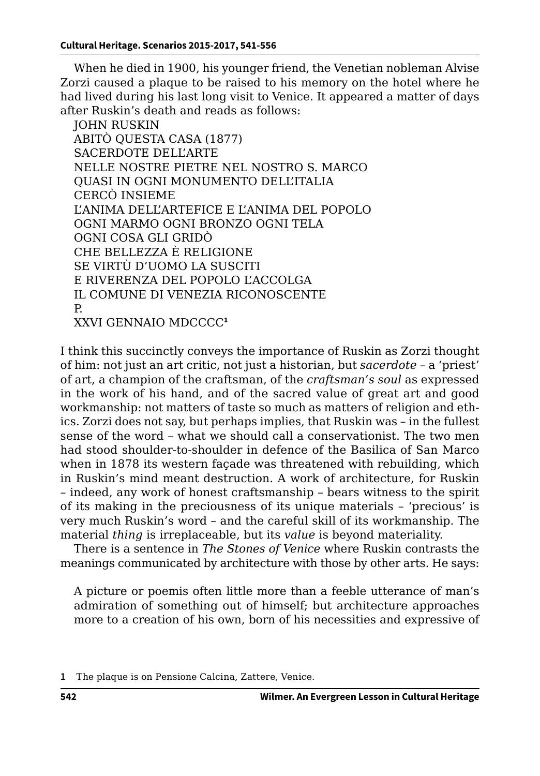When he died in 1900, his younger friend, the Venetian nobleman Alvise Zorzi caused a plaque to be raised to his memory on the hotel where he had lived during his last long visit to Venice. It appeared a matter of days after Ruskin's death and reads as follows:

JOHN RUSKIN ABITÒ QUESTA CASA (1877) SACERDOTE DELL'ARTE NELLE NOSTRE PIETRE NEL NOSTRO S. MARCO QUASI IN OGNI MONUMENTO DELL'ITALIA CERCÒ INSIEME L'ANIMA DELL'ARTEFICE E L'ANIMA DEL POPOLO OGNI MARMO OGNI BRONZO OGNI TELA OGNI COSA GLI GRIDÒ CHE BELLEZZA È RELIGIONE SE VIRTÙ D'UOMO LA SUSCITI E RIVERENZA DEL POPOLO L'ACCOLGA IL COMUNE DI VENEZIA RICONOSCENTE P. XXVI GENNAIO MDCCCC**<sup>1</sup>**

I think this succinctly conveys the importance of Ruskin as Zorzi thought of him: not just an art critic, not just a historian, but *sacerdote* – a 'priest' of art, a champion of the craftsman, of the *craftsman's soul* as expressed in the work of his hand, and of the sacred value of great art and good workmanship: not matters of taste so much as matters of religion and ethics. Zorzi does not say, but perhaps implies, that Ruskin was – in the fullest sense of the word – what we should call a conservationist. The two men had stood shoulder-to-shoulder in defence of the Basilica of San Marco when in 1878 its western façade was threatened with rebuilding, which in Ruskin's mind meant destruction. A work of architecture, for Ruskin – indeed, any work of honest craftsmanship – bears witness to the spirit of its making in the preciousness of its unique materials – 'precious' is very much Ruskin's word – and the careful skill of its workmanship. The material *thing* is irreplaceable, but its *value* is beyond materiality.

There is a sentence in *The Stones of Venice* where Ruskin contrasts the meanings communicated by architecture with those by other arts. He says:

A picture or poemis often little more than a feeble utterance of man's admiration of something out of himself; but architecture approaches more to a creation of his own, born of his necessities and expressive of

**<sup>1</sup>** The plaque is on Pensione Calcina, Zattere, Venice.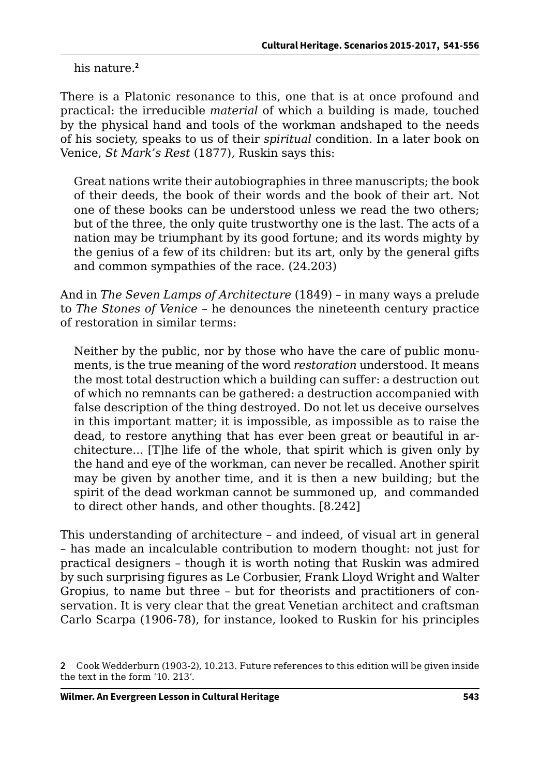his nature.**<sup>2</sup>**

There is a Platonic resonance to this, one that is at once profound and practical: the irreducible *material* of which a building is made, touched by the physical hand and tools of the workman andshaped to the needs of his society, speaks to us of their *spiritual* condition. In a later book on Venice, *St Mark's Rest* (1877), Ruskin says this:

Great nations write their autobiographies in three manuscripts; the book of their deeds, the book of their words and the book of their art. Not one of these books can be understood unless we read the two others; but of the three, the only quite trustworthy one is the last. The acts of a nation may be triumphant by its good fortune; and its words mighty by the genius of a few of its children: but its art, only by the general gifts and common sympathies of the race. (24.203)

And in *The Seven Lamps of Architecture* (1849) – in many ways a prelude to *The Stones of Venice* – he denounces the nineteenth century practice of restoration in similar terms:

Neither by the public, nor by those who have the care of public monuments, is the true meaning of the word *restoration* understood. It means the most total destruction which a building can suffer: a destruction out of which no remnants can be gathered: a destruction accompanied with false description of the thing destroyed. Do not let us deceive ourselves in this important matter; it is impossible, as impossible as to raise the dead, to restore anything that has ever been great or beautiful in architecture... [T]he life of the whole, that spirit which is given only by the hand and eye of the workman, can never be recalled. Another spirit may be given by another time, and it is then a new building; but the spirit of the dead workman cannot be summoned up, and commanded to direct other hands, and other thoughts. [8.242]

This understanding of architecture – and indeed, of visual art in general – has made an incalculable contribution to modern thought: not just for practical designers – though it is worth noting that Ruskin was admired by such surprising figures as Le Corbusier, Frank Lloyd Wright and Walter Gropius, to name but three – but for theorists and practitioners of conservation. It is very clear that the great Venetian architect and craftsman Carlo Scarpa (1906-78), for instance, looked to Ruskin for his principles

**<sup>2</sup>** Cook Wedderburn (1903-2), 10.213. Future references to this edition will be given inside the text in the form '10. 213'.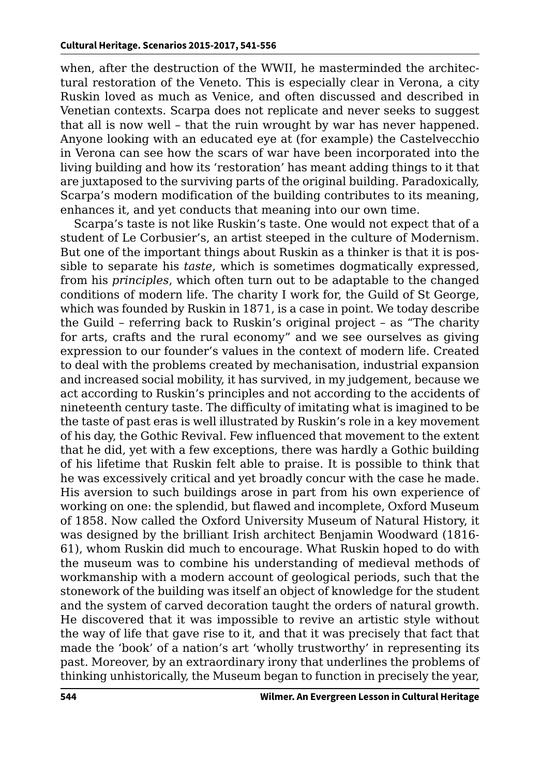when, after the destruction of the WWII, he masterminded the architectural restoration of the Veneto. This is especially clear in Verona, a city Ruskin loved as much as Venice, and often discussed and described in Venetian contexts. Scarpa does not replicate and never seeks to suggest that all is now well – that the ruin wrought by war has never happened. Anyone looking with an educated eye at (for example) the Castelvecchio in Verona can see how the scars of war have been incorporated into the living building and how its 'restoration' has meant adding things to it that are juxtaposed to the surviving parts of the original building. Paradoxically, Scarpa's modern modification of the building contributes to its meaning, enhances it, and yet conducts that meaning into our own time.

Scarpa's taste is not like Ruskin's taste. One would not expect that of a student of Le Corbusier's, an artist steeped in the culture of Modernism. But one of the important things about Ruskin as a thinker is that it is possible to separate his *taste*, which is sometimes dogmatically expressed, from his *principles*, which often turn out to be adaptable to the changed conditions of modern life. The charity I work for, the Guild of St George, which was founded by Ruskin in 1871, is a case in point. We today describe the Guild – referring back to Ruskin's original project – as "The charity for arts, crafts and the rural economy" and we see ourselves as giving expression to our founder's values in the context of modern life. Created to deal with the problems created by mechanisation, industrial expansion and increased social mobility, it has survived, in my judgement, because we act according to Ruskin's principles and not according to the accidents of nineteenth century taste. The difficulty of imitating what is imagined to be the taste of past eras is well illustrated by Ruskin's role in a key movement of his day, the Gothic Revival. Few influenced that movement to the extent that he did, yet with a few exceptions, there was hardly a Gothic building of his lifetime that Ruskin felt able to praise. It is possible to think that he was excessively critical and yet broadly concur with the case he made. His aversion to such buildings arose in part from his own experience of working on one: the splendid, but flawed and incomplete, Oxford Museum of 1858. Now called the Oxford University Museum of Natural History, it was designed by the brilliant Irish architect Benjamin Woodward (1816- 61), whom Ruskin did much to encourage. What Ruskin hoped to do with the museum was to combine his understanding of medieval methods of workmanship with a modern account of geological periods, such that the stonework of the building was itself an object of knowledge for the student and the system of carved decoration taught the orders of natural growth. He discovered that it was impossible to revive an artistic style without the way of life that gave rise to it, and that it was precisely that fact that made the 'book' of a nation's art 'wholly trustworthy' in representing its past. Moreover, by an extraordinary irony that underlines the problems of thinking unhistorically, the Museum began to function in precisely the year,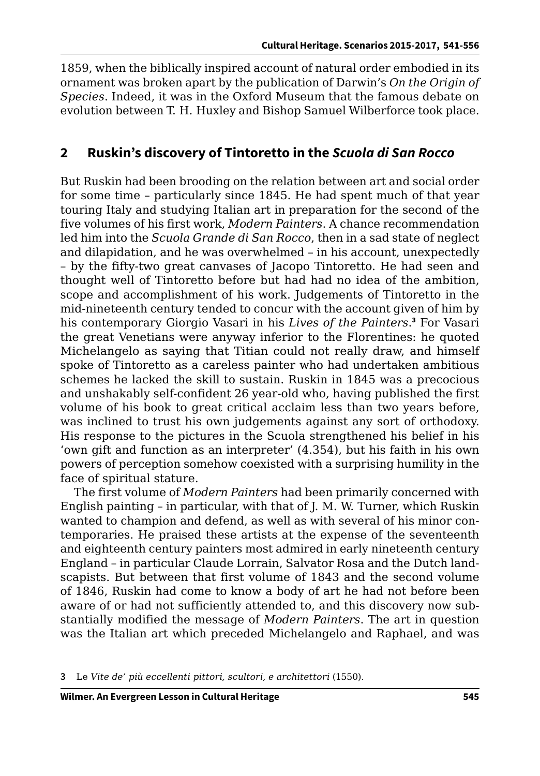1859, when the biblically inspired account of natural order embodied in its ornament was broken apart by the publication of Darwin's *On the Origin of Species*. Indeed, it was in the Oxford Museum that the famous debate on evolution between T. H. Huxley and Bishop Samuel Wilberforce took place.

#### **2 Ruskin's discovery of Tintoretto in the** *Scuola di San Rocco*

But Ruskin had been brooding on the relation between art and social order for some time – particularly since 1845. He had spent much of that year touring Italy and studying Italian art in preparation for the second of the five volumes of his first work, *Modern Painters*. A chance recommendation led him into the *Scuola Grande di San Rocco*, then in a sad state of neglect and dilapidation, and he was overwhelmed – in his account, unexpectedly – by the fifty-two great canvases of Jacopo Tintoretto. He had seen and thought well of Tintoretto before but had had no idea of the ambition, scope and accomplishment of his work. Judgements of Tintoretto in the mid-nineteenth century tended to concur with the account given of him by his contemporary Giorgio Vasari in his *Lives of the Painters*. **3** For Vasari the great Venetians were anyway inferior to the Florentines: he quoted Michelangelo as saying that Titian could not really draw, and himself spoke of Tintoretto as a careless painter who had undertaken ambitious schemes he lacked the skill to sustain. Ruskin in 1845 was a precocious and unshakably self-confident 26 year-old who, having published the first volume of his book to great critical acclaim less than two years before, was inclined to trust his own judgements against any sort of orthodoxy. His response to the pictures in the Scuola strengthened his belief in his 'own gift and function as an interpreter' (4.354), but his faith in his own powers of perception somehow coexisted with a surprising humility in the face of spiritual stature.

The first volume of *Modern Painters* had been primarily concerned with English painting – in particular, with that of J. M. W. Turner, which Ruskin wanted to champion and defend, as well as with several of his minor contemporaries. He praised these artists at the expense of the seventeenth and eighteenth century painters most admired in early nineteenth century England – in particular Claude Lorrain, Salvator Rosa and the Dutch landscapists. But between that first volume of 1843 and the second volume of 1846, Ruskin had come to know a body of art he had not before been aware of or had not sufficiently attended to, and this discovery now substantially modified the message of *Modern Painters*. The art in question was the Italian art which preceded Michelangelo and Raphael, and was

**3** Le *Vite de' più eccellenti pittori, scultori, e architettori* (1550).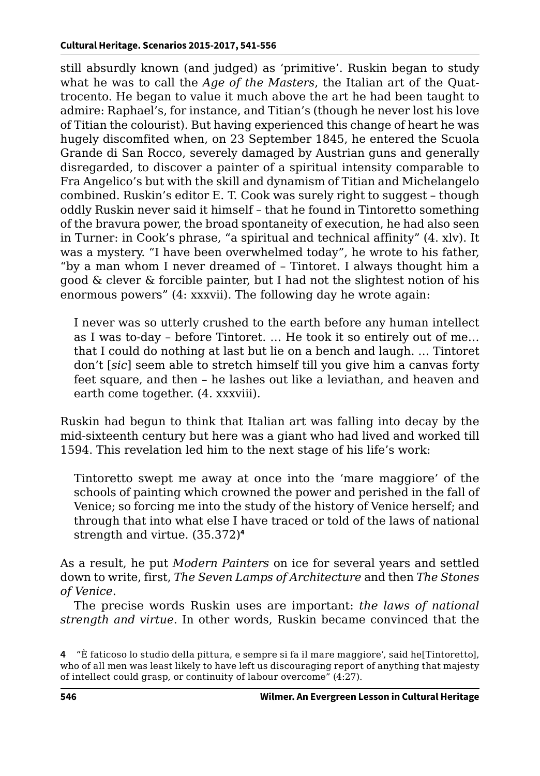still absurdly known (and judged) as 'primitive'. Ruskin began to study what he was to call the *Age of the Masters*, the Italian art of the Quattrocento. He began to value it much above the art he had been taught to admire: Raphael's, for instance, and Titian's (though he never lost his love of Titian the colourist). But having experienced this change of heart he was hugely discomfited when, on 23 September 1845, he entered the Scuola Grande di San Rocco, severely damaged by Austrian guns and generally disregarded, to discover a painter of a spiritual intensity comparable to Fra Angelico's but with the skill and dynamism of Titian and Michelangelo combined. Ruskin's editor E. T. Cook was surely right to suggest – though oddly Ruskin never said it himself – that he found in Tintoretto something of the bravura power, the broad spontaneity of execution, he had also seen in Turner: in Cook's phrase, "a spiritual and technical affinity" (4. xlv). It was a mystery. "I have been overwhelmed today", he wrote to his father, "by a man whom I never dreamed of – Tintoret. I always thought him a good & clever & forcible painter, but I had not the slightest notion of his enormous powers" (4: xxxvii). The following day he wrote again:

I never was so utterly crushed to the earth before any human intellect as I was to-day – before Tintoret. … He took it so entirely out of me… that I could do nothing at last but lie on a bench and laugh. … Tintoret don't [*sic*] seem able to stretch himself till you give him a canvas forty feet square, and then – he lashes out like a leviathan, and heaven and earth come together. (4. xxxviii).

Ruskin had begun to think that Italian art was falling into decay by the mid-sixteenth century but here was a giant who had lived and worked till 1594. This revelation led him to the next stage of his life's work:

Tintoretto swept me away at once into the 'mare maggiore' of the schools of painting which crowned the power and perished in the fall of Venice; so forcing me into the study of the history of Venice herself; and through that into what else I have traced or told of the laws of national strength and virtue. (35.372)**<sup>4</sup>**

As a result, he put *Modern Painters* on ice for several years and settled down to write, first, *The Seven Lamps of Architecture* and then *The Stones of Venice*.

The precise words Ruskin uses are important: *the laws of national strength and virtue*. In other words, Ruskin became convinced that the

**<sup>4</sup>** "È faticoso lo studio della pittura, e sempre si fa il mare maggiore', said he[Tintoretto], who of all men was least likely to have left us discouraging report of anything that majesty of intellect could grasp, or continuity of labour overcome" (4:27).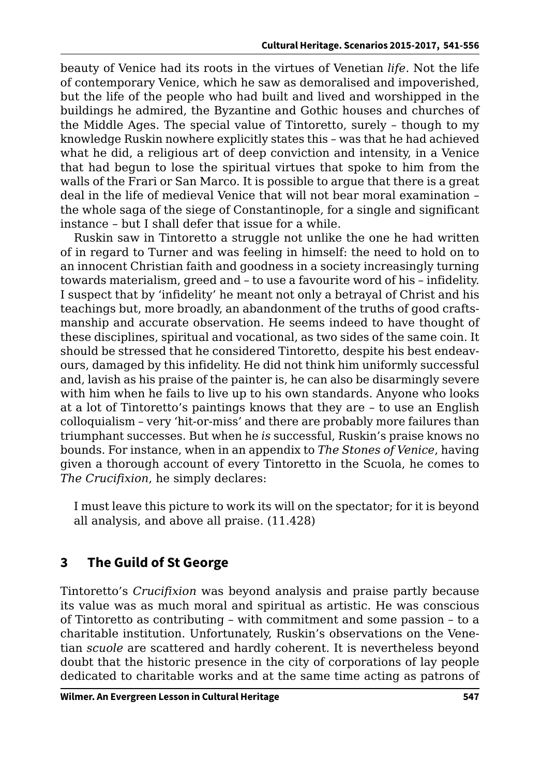beauty of Venice had its roots in the virtues of Venetian *life*. Not the life of contemporary Venice, which he saw as demoralised and impoverished, but the life of the people who had built and lived and worshipped in the buildings he admired, the Byzantine and Gothic houses and churches of the Middle Ages. The special value of Tintoretto, surely – though to my knowledge Ruskin nowhere explicitly states this – was that he had achieved what he did, a religious art of deep conviction and intensity, in a Venice that had begun to lose the spiritual virtues that spoke to him from the walls of the Frari or San Marco. It is possible to argue that there is a great deal in the life of medieval Venice that will not bear moral examination – the whole saga of the siege of Constantinople, for a single and significant instance – but I shall defer that issue for a while.

Ruskin saw in Tintoretto a struggle not unlike the one he had written of in regard to Turner and was feeling in himself: the need to hold on to an innocent Christian faith and goodness in a society increasingly turning towards materialism, greed and – to use a favourite word of his – infidelity. I suspect that by 'infidelity' he meant not only a betrayal of Christ and his teachings but, more broadly, an abandonment of the truths of good craftsmanship and accurate observation. He seems indeed to have thought of these disciplines, spiritual and vocational, as two sides of the same coin. It should be stressed that he considered Tintoretto, despite his best endeavours, damaged by this infidelity. He did not think him uniformly successful and, lavish as his praise of the painter is, he can also be disarmingly severe with him when he fails to live up to his own standards. Anyone who looks at a lot of Tintoretto's paintings knows that they are – to use an English colloquialism – very 'hit-or-miss' and there are probably more failures than triumphant successes. But when he *is* successful, Ruskin's praise knows no bounds. For instance, when in an appendix to *The Stones of Venice*, having given a thorough account of every Tintoretto in the Scuola, he comes to *The Crucifixion*, he simply declares:

I must leave this picture to work its will on the spectator; for it is beyond all analysis, and above all praise. (11.428)

## **3 The Guild of St George**

Tintoretto's *Crucifixion* was beyond analysis and praise partly because its value was as much moral and spiritual as artistic. He was conscious of Tintoretto as contributing – with commitment and some passion – to a charitable institution. Unfortunately, Ruskin's observations on the Venetian *scuole* are scattered and hardly coherent. It is nevertheless beyond doubt that the historic presence in the city of corporations of lay people dedicated to charitable works and at the same time acting as patrons of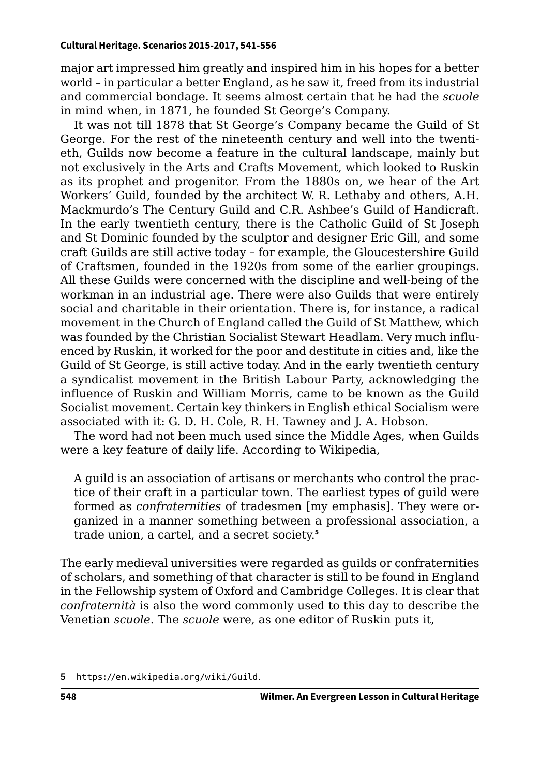major art impressed him greatly and inspired him in his hopes for a better world – in particular a better England, as he saw it, freed from its industrial and commercial bondage. It seems almost certain that he had the *scuole* in mind when, in 1871, he founded St George's Company.

It was not till 1878 that St George's Company became the Guild of St George. For the rest of the nineteenth century and well into the twentieth, Guilds now become a feature in the cultural landscape, mainly but not exclusively in the Arts and Crafts Movement, which looked to Ruskin as its prophet and progenitor. From the 1880s on, we hear of the Art Workers' Guild, founded by the architect W. R. Lethaby and others, A.H. Mackmurdo's The Century Guild and C.R. Ashbee's Guild of Handicraft. In the early twentieth century, there is the Catholic Guild of St Joseph and St Dominic founded by the sculptor and designer Eric Gill, and some craft Guilds are still active today – for example, the Gloucestershire Guild of Craftsmen, founded in the 1920s from some of the earlier groupings. All these Guilds were concerned with the discipline and well-being of the workman in an industrial age. There were also Guilds that were entirely social and charitable in their orientation. There is, for instance, a radical movement in the Church of England called the Guild of St Matthew, which was founded by the Christian Socialist Stewart Headlam. Very much influenced by Ruskin, it worked for the poor and destitute in cities and, like the Guild of St George, is still active today. And in the early twentieth century a syndicalist movement in the British Labour Party, acknowledging the influence of Ruskin and William Morris, came to be known as the Guild Socialist movement. Certain key thinkers in English ethical Socialism were associated with it: G. D. H. Cole, R. H. Tawney and J. A. Hobson.

The word had not been much used since the Middle Ages, when Guilds were a key feature of daily life. According to Wikipedia,

A guild is an association of artisans or merchants who control the practice of their craft in a particular town. The earliest types of guild were formed as *confraternities* of tradesmen [my emphasis]. They were organized in a manner something between a professional association, a trade union, a cartel, and a secret society.**<sup>5</sup>**

The early medieval universities were regarded as guilds or confraternities of scholars, and something of that character is still to be found in England in the Fellowship system of Oxford and Cambridge Colleges. It is clear that *confraternità* is also the word commonly used to this day to describe the Venetian *scuole*. The *scuole* were, as one editor of Ruskin puts it,

**<sup>5</sup>** <https://en.wikipedia.org/wiki/Guild>.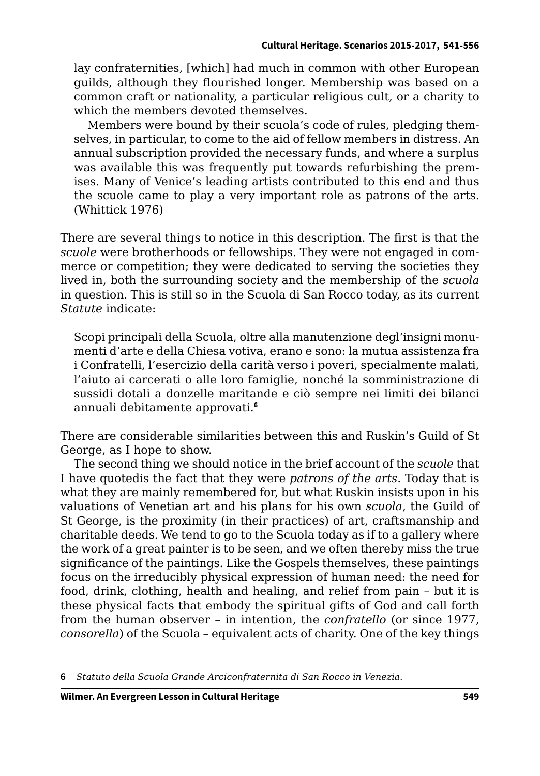lay confraternities, [which] had much in common with other European guilds, although they flourished longer. Membership was based on a common craft or nationality, a particular religious cult, or a charity to which the members devoted themselves.

Members were bound by their scuola's code of rules, pledging themselves, in particular, to come to the aid of fellow members in distress. An annual subscription provided the necessary funds, and where a surplus was available this was frequently put towards refurbishing the premises. Many of Venice's leading artists contributed to this end and thus the scuole came to play a very important role as patrons of the arts. (Whittick 1976)

There are several things to notice in this description. The first is that the *scuole* were brotherhoods or fellowships. They were not engaged in commerce or competition; they were dedicated to serving the societies they lived in, both the surrounding society and the membership of the *scuola* in question. This is still so in the Scuola di San Rocco today, as its current *Statute* indicate:

Scopi principali della Scuola, oltre alla manutenzione degl'insigni monumenti d'arte e della Chiesa votiva, erano e sono: la mutua assistenza fra i Confratelli, l'esercizio della carità verso i poveri, specialmente malati, l'aiuto ai carcerati o alle loro famiglie, nonché la somministrazione di sussidi dotali a donzelle maritande e ciò sempre nei limiti dei bilanci annuali debitamente approvati.**<sup>6</sup>**

There are considerable similarities between this and Ruskin's Guild of St George, as I hope to show.

The second thing we should notice in the brief account of the *scuole* that I have quotedis the fact that they were *patrons of the arts*. Today that is what they are mainly remembered for, but what Ruskin insists upon in his valuations of Venetian art and his plans for his own *scuola*, the Guild of St George, is the proximity (in their practices) of art, craftsmanship and charitable deeds. We tend to go to the Scuola today as if to a gallery where the work of a great painter is to be seen, and we often thereby miss the true significance of the paintings. Like the Gospels themselves, these paintings focus on the irreducibly physical expression of human need: the need for food, drink, clothing, health and healing, and relief from pain – but it is these physical facts that embody the spiritual gifts of God and call forth from the human observer – in intention, the *confratello* (or since 1977, *consorella*) of the Scuola – equivalent acts of charity. One of the key things

**6** *Statuto della Scuola Grande Arciconfraternita di San Rocco in Venezia*.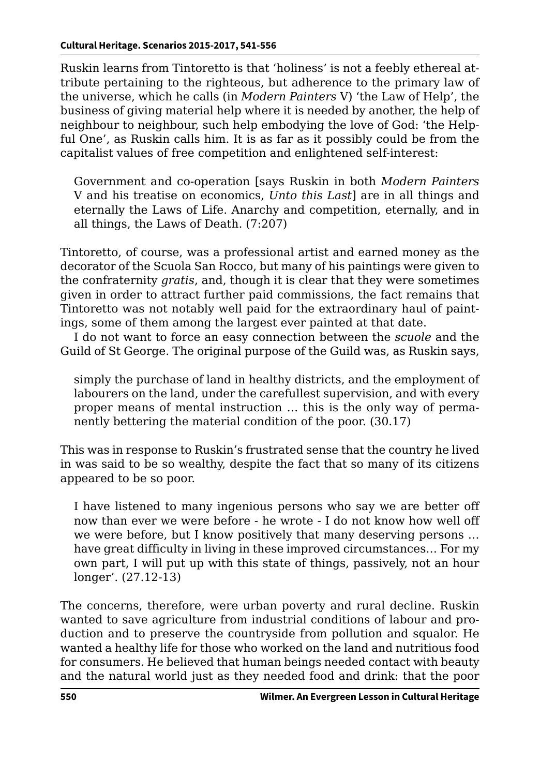Ruskin learns from Tintoretto is that 'holiness' is not a feebly ethereal attribute pertaining to the righteous, but adherence to the primary law of the universe, which he calls (in *Modern Painters* V) 'the Law of Help', the business of giving material help where it is needed by another, the help of neighbour to neighbour, such help embodying the love of God: 'the Helpful One', as Ruskin calls him. It is as far as it possibly could be from the capitalist values of free competition and enlightened self-interest:

Government and co-operation [says Ruskin in both *Modern Painters* V and his treatise on economics, *Unto this Last*] are in all things and eternally the Laws of Life. Anarchy and competition, eternally, and in all things, the Laws of Death. (7:207)

Tintoretto, of course, was a professional artist and earned money as the decorator of the Scuola San Rocco, but many of his paintings were given to the confraternity *gratis*, and, though it is clear that they were sometimes given in order to attract further paid commissions, the fact remains that Tintoretto was not notably well paid for the extraordinary haul of paintings, some of them among the largest ever painted at that date.

I do not want to force an easy connection between the *scuole* and the Guild of St George. The original purpose of the Guild was, as Ruskin says,

simply the purchase of land in healthy districts, and the employment of labourers on the land, under the carefullest supervision, and with every proper means of mental instruction … this is the only way of permanently bettering the material condition of the poor. (30.17)

This was in response to Ruskin's frustrated sense that the country he lived in was said to be so wealthy, despite the fact that so many of its citizens appeared to be so poor.

I have listened to many ingenious persons who say we are better off now than ever we were before - he wrote - I do not know how well off we were before, but I know positively that many deserving persons … have great difficulty in living in these improved circumstances… For my own part, I will put up with this state of things, passively, not an hour longer'. (27.12-13)

The concerns, therefore, were urban poverty and rural decline. Ruskin wanted to save agriculture from industrial conditions of labour and production and to preserve the countryside from pollution and squalor. He wanted a healthy life for those who worked on the land and nutritious food for consumers. He believed that human beings needed contact with beauty and the natural world just as they needed food and drink: that the poor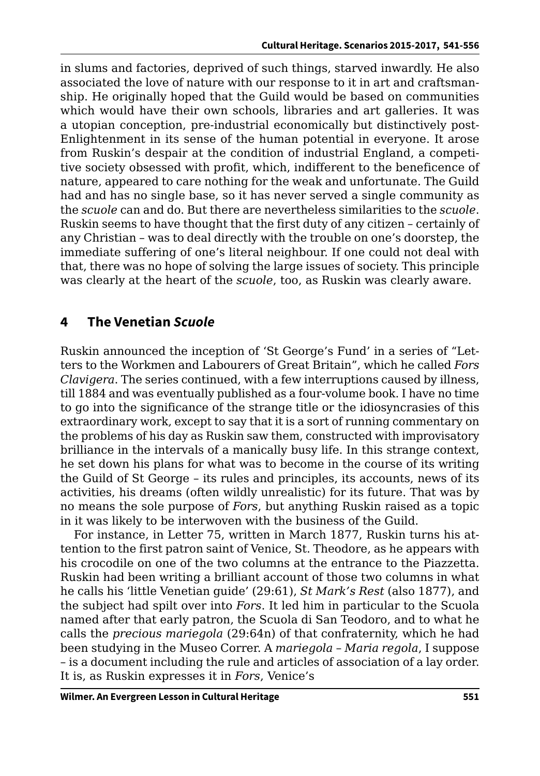in slums and factories, deprived of such things, starved inwardly. He also associated the love of nature with our response to it in art and craftsmanship. He originally hoped that the Guild would be based on communities which would have their own schools, libraries and art galleries. It was a utopian conception, pre-industrial economically but distinctively post-Enlightenment in its sense of the human potential in everyone. It arose from Ruskin's despair at the condition of industrial England, a competitive society obsessed with profit, which, indifferent to the beneficence of nature, appeared to care nothing for the weak and unfortunate. The Guild had and has no single base, so it has never served a single community as the *scuole* can and do. But there are nevertheless similarities to the *scuole*. Ruskin seems to have thought that the first duty of any citizen – certainly of any Christian – was to deal directly with the trouble on one's doorstep, the immediate suffering of one's literal neighbour. If one could not deal with that, there was no hope of solving the large issues of society. This principle was clearly at the heart of the *scuole*, too, as Ruskin was clearly aware.

### **4 The Venetian** *Scuole*

Ruskin announced the inception of 'St George's Fund' in a series of "Letters to the Workmen and Labourers of Great Britain", which he called *Fors Clavigera*. The series continued, with a few interruptions caused by illness, till 1884 and was eventually published as a four-volume book. I have no time to go into the significance of the strange title or the idiosyncrasies of this extraordinary work, except to say that it is a sort of running commentary on the problems of his day as Ruskin saw them, constructed with improvisatory brilliance in the intervals of a manically busy life. In this strange context, he set down his plans for what was to become in the course of its writing the Guild of St George – its rules and principles, its accounts, news of its activities, his dreams (often wildly unrealistic) for its future. That was by no means the sole purpose of *Fors*, but anything Ruskin raised as a topic in it was likely to be interwoven with the business of the Guild.

For instance, in Letter 75, written in March 1877, Ruskin turns his attention to the first patron saint of Venice, St. Theodore, as he appears with his crocodile on one of the two columns at the entrance to the Piazzetta. Ruskin had been writing a brilliant account of those two columns in what he calls his 'little Venetian guide' (29:61), *St Mark's Rest* (also 1877), and the subject had spilt over into *Fors*. It led him in particular to the Scuola named after that early patron, the Scuola di San Teodoro, and to what he calls the *precious mariegola* (29:64n) of that confraternity, which he had been studying in the Museo Correr. A *mariegola* – *Maria regola*, I suppose – is a document including the rule and articles of association of a lay order. It is, as Ruskin expresses it in *Fors*, Venice's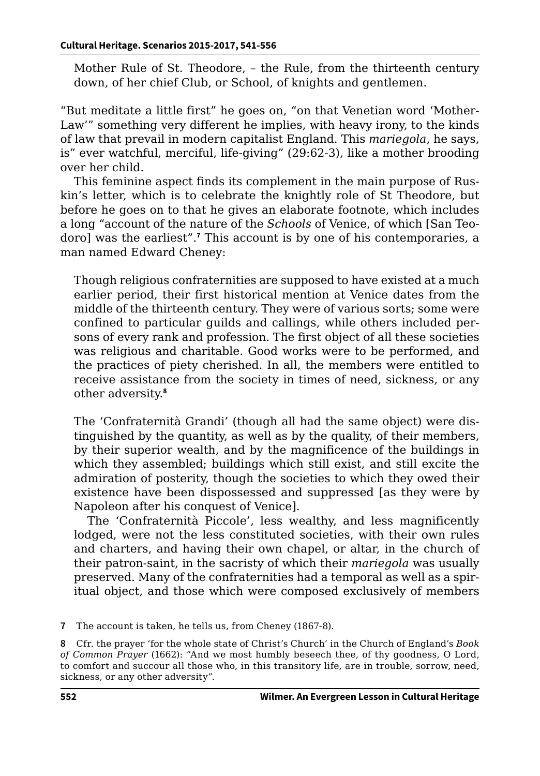Mother Rule of St. Theodore, – the Rule, from the thirteenth century down, of her chief Club, or School, of knights and gentlemen.

"But meditate a little first" he goes on, "on that Venetian word 'Mother-Law'" something very different he implies, with heavy irony, to the kinds of law that prevail in modern capitalist England. This *mariegola*, he says, is" ever watchful, merciful, life-giving" (29:62-3), like a mother brooding over her child.

This feminine aspect finds its complement in the main purpose of Ruskin's letter, which is to celebrate the knightly role of St Theodore, but before he goes on to that he gives an elaborate footnote, which includes a long "account of the nature of the *Schools* of Venice, of which [San Teodoro] was the earliest".**<sup>7</sup>** This account is by one of his contemporaries, a man named Edward Cheney:

Though religious confraternities are supposed to have existed at a much earlier period, their first historical mention at Venice dates from the middle of the thirteenth century. They were of various sorts; some were confined to particular guilds and callings, while others included persons of every rank and profession. The first object of all these societies was religious and charitable. Good works were to be performed, and the practices of piety cherished. In all, the members were entitled to receive assistance from the society in times of need, sickness, or any other adversity.**<sup>8</sup>**

The 'Confraternità Grandi' (though all had the same object) were distinguished by the quantity, as well as by the quality, of their members, by their superior wealth, and by the magnificence of the buildings in which they assembled; buildings which still exist, and still excite the admiration of posterity, though the societies to which they owed their existence have been dispossessed and suppressed [as they were by Napoleon after his conquest of Venice].

The 'Confraternità Piccole', less wealthy, and less magnificently lodged, were not the less constituted societies, with their own rules and charters, and having their own chapel, or altar, in the church of their patron-saint, in the sacristy of which their *mariegola* was usually preserved. Many of the confraternities had a temporal as well as a spiritual object, and those which were composed exclusively of members

**8** Cfr. the prayer 'for the whole state of Christ's Church' in the Church of England's *Book of Common Prayer* (1662): "And we most humbly beseech thee, of thy goodness, O Lord, to comfort and succour all those who, in this transitory life, are in trouble, sorrow, need, sickness, or any other adversity".

**<sup>7</sup>** The account is taken, he tells us, from Cheney (1867-8).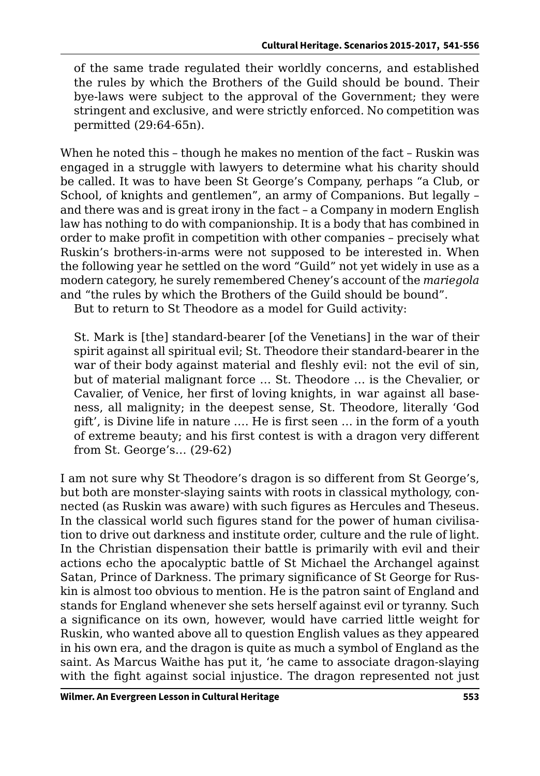of the same trade regulated their worldly concerns, and established the rules by which the Brothers of the Guild should be bound. Their bye-laws were subject to the approval of the Government; they were stringent and exclusive, and were strictly enforced. No competition was permitted (29:64-65n).

When he noted this – though he makes no mention of the fact – Ruskin was engaged in a struggle with lawyers to determine what his charity should be called. It was to have been St George's Company, perhaps "a Club, or School, of knights and gentlemen", an army of Companions. But legally – and there was and is great irony in the fact – a Company in modern English law has nothing to do with companionship. It is a body that has combined in order to make profit in competition with other companies – precisely what Ruskin's brothers-in-arms were not supposed to be interested in. When the following year he settled on the word "Guild" not yet widely in use as a modern category, he surely remembered Cheney's account of the *mariegola* and "the rules by which the Brothers of the Guild should be bound".

But to return to St Theodore as a model for Guild activity:

St. Mark is [the] standard-bearer [of the Venetians] in the war of their spirit against all spiritual evil; St. Theodore their standard-bearer in the war of their body against material and fleshly evil: not the evil of sin, but of material malignant force … St. Theodore … is the Chevalier, or Cavalier, of Venice, her first of loving knights, in war against all baseness, all malignity; in the deepest sense, St. Theodore, literally 'God gift', is Divine life in nature …. He is first seen … in the form of a youth of extreme beauty; and his first contest is with a dragon very different from St. George's… (29-62)

I am not sure why St Theodore's dragon is so different from St George's, but both are monster-slaying saints with roots in classical mythology, connected (as Ruskin was aware) with such figures as Hercules and Theseus. In the classical world such figures stand for the power of human civilisation to drive out darkness and institute order, culture and the rule of light. In the Christian dispensation their battle is primarily with evil and their actions echo the apocalyptic battle of St Michael the Archangel against Satan, Prince of Darkness. The primary significance of St George for Ruskin is almost too obvious to mention. He is the patron saint of England and stands for England whenever she sets herself against evil or tyranny. Such a significance on its own, however, would have carried little weight for Ruskin, who wanted above all to question English values as they appeared in his own era, and the dragon is quite as much a symbol of England as the saint. As Marcus Waithe has put it, 'he came to associate dragon-slaying with the fight against social injustice. The dragon represented not just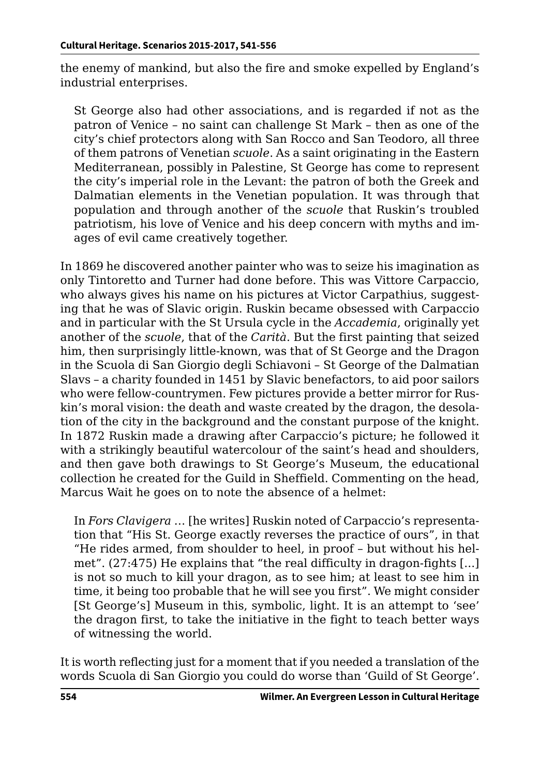the enemy of mankind, but also the fire and smoke expelled by England's industrial enterprises.

St George also had other associations, and is regarded if not as the patron of Venice – no saint can challenge St Mark – then as one of the city's chief protectors along with San Rocco and San Teodoro, all three of them patrons of Venetian *scuole*. As a saint originating in the Eastern Mediterranean, possibly in Palestine, St George has come to represent the city's imperial role in the Levant: the patron of both the Greek and Dalmatian elements in the Venetian population. It was through that population and through another of the *scuole* that Ruskin's troubled patriotism, his love of Venice and his deep concern with myths and images of evil came creatively together.

In 1869 he discovered another painter who was to seize his imagination as only Tintoretto and Turner had done before. This was Vittore Carpaccio, who always gives his name on his pictures at Victor Carpathius, suggesting that he was of Slavic origin. Ruskin became obsessed with Carpaccio and in particular with the St Ursula cycle in the *Accademia*, originally yet another of the *scuole*, that of the *Carità*. But the first painting that seized him, then surprisingly little-known, was that of St George and the Dragon in the Scuola di San Giorgio degli Schiavoni – St George of the Dalmatian Slavs – a charity founded in 1451 by Slavic benefactors, to aid poor sailors who were fellow-countrymen. Few pictures provide a better mirror for Ruskin's moral vision: the death and waste created by the dragon, the desolation of the city in the background and the constant purpose of the knight. In 1872 Ruskin made a drawing after Carpaccio's picture; he followed it with a strikingly beautiful watercolour of the saint's head and shoulders, and then gave both drawings to St George's Museum, the educational collection he created for the Guild in Sheffield. Commenting on the head, Marcus Wait he goes on to note the absence of a helmet:

In *Fors Clavigera* … [he writes] Ruskin noted of Carpaccio's representation that "His St. George exactly reverses the practice of ours", in that "He rides armed, from shoulder to heel, in proof – but without his helmet". (27:475) He explains that "the real difficulty in dragon-fights [...] is not so much to kill your dragon, as to see him; at least to see him in time, it being too probable that he will see you first". We might consider [St George's] Museum in this, symbolic, light. It is an attempt to 'see' the dragon first, to take the initiative in the fight to teach better ways of witnessing the world.

It is worth reflecting just for a moment that if you needed a translation of the words Scuola di San Giorgio you could do worse than 'Guild of St George'.